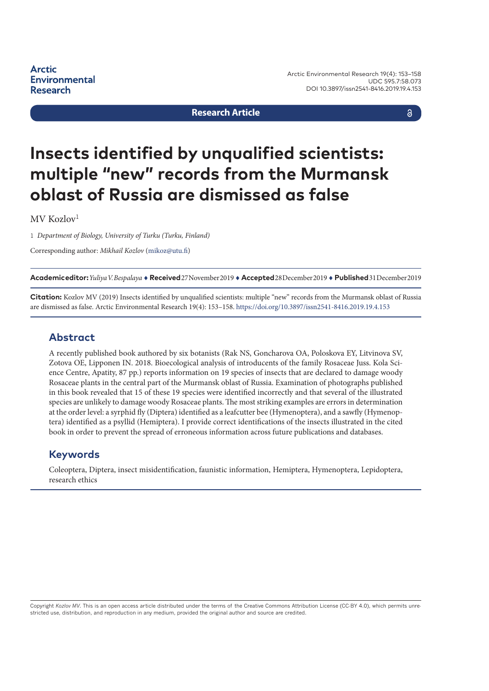**Arctic Environmental Research** 

#### **Research Article**

#### $\delta$

# **Insects identified by unqualified scientists: multiple "new" records from the Murmansk oblast of Russia are dismissed as false**

 $MV$  Kozlov<sup>1</sup>

1 *Department of Biology, University of Turku (Turku, Finland)*

Corresponding author: *Mikhail Kozlov* [\(mikoz@utu.fi\)](mailto:mikoz@utu.fi)

**Academic editor:***Yuliya V. Bespalaya* ♦ **Received** 27 November 2019 ♦ **Accepted** 28 December 2019 ♦ **Published** 31 December 2019

**Citation:** Kozlov MV (2019) Insects identified by unqualified scientists: multiple "new" records from the Murmansk oblast of Russia are dismissed as false. Arctic Environmental Research 19(4): 153–158. <https://doi.org/10.3897/issn2541-8416.2019.19.4.153>

#### **Abstract**

A recently published book authored by six botanists (Rak NS, Goncharova OA, Poloskova EY, Litvinova SV, Zotova OE, Lipponen IN. 2018. Bioecological analysis of introducents of the family Rosaceae Juss. Kola Science Centre, Apatity, 87 pp.) reports information on 19 species of insects that are declared to damage woody Rosaceae plants in the central part of the Murmansk oblast of Russia. Examination of photographs published in this book revealed that 15 of these 19 species were identified incorrectly and that several of the illustrated species are unlikely to damage woody Rosaceae plants. The most striking examples are errors in determination at the order level: a syrphid fly (Diptera) identified as a leafcutter bee (Hymenoptera), and a sawfly (Hymenoptera) identified as a psyllid (Hemiptera). I provide correct identifications of the insects illustrated in the cited book in order to prevent the spread of erroneous information across future publications and databases.

#### **Keywords**

Coleoptera, Diptera, insect misidentification, faunistic information, Hemiptera, Hymenoptera, Lepidoptera, research ethics

Copyright Kozlov MV. This is an open access article distributed under the terms of the Creative Commons Attribution License (CC-BY 4.0), which permits unrestricted use, distribution, and reproduction in any medium, provided the original author and source are credited.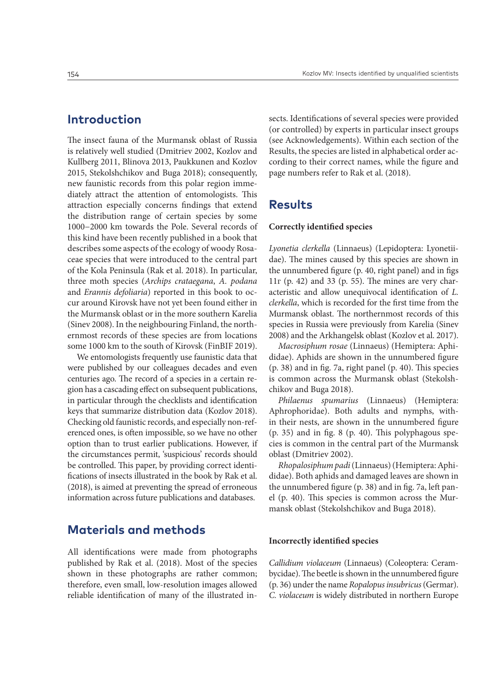## **Introduction**

The insect fauna of the Murmansk oblast of Russia is relatively well studied (Dmitriev 2002, Kozlov and Kullberg 2011, Blinova 2013, Paukkunen and Kozlov 2015, Stekolshchikov and Buga 2018); consequently, new faunistic records from this polar region immediately attract the attention of entomologists. This attraction especially concerns findings that extend the distribution range of certain species by some 1000−2000 km towards the Pole. Several records of this kind have been recently published in a book that describes some aspects of the ecology of woody Rosaceae species that were introduced to the central part of the Kola Peninsula (Rak et al. 2018). In particular, three moth species (*Archips crataegana*, *A. podana* and *Erannis defoliaria*) reported in this book to occur around Kirovsk have not yet been found either in the Murmansk oblast or in the more southern Karelia (Sinev 2008). In the neighbouring Finland, the northernmost records of these species are from locations some 1000 km to the south of Kirovsk (FinBIF 2019).

We entomologists frequently use faunistic data that were published by our colleagues decades and even centuries ago. The record of a species in a certain region has a cascading effect on subsequent publications, in particular through the checklists and identification keys that summarize distribution data (Kozlov 2018). Checking old faunistic records, and especially non-referenced ones, is often impossible, so we have no other option than to trust earlier publications. However, if the circumstances permit, 'suspicious' records should be controlled. This paper, by providing correct identifications of insects illustrated in the book by Rak et al. (2018), is aimed at preventing the spread of erroneous information across future publications and databases.

## **Materials and methods**

All identifications were made from photographs published by Rak et al. (2018). Most of the species shown in these photographs are rather common; therefore, even small, low-resolution images allowed reliable identification of many of the illustrated insects. Identifications of several species were provided (or controlled) by experts in particular insect groups (see Acknowledgements). Within each section of the Results, the species are listed in alphabetical order according to their correct names, while the figure and page numbers refer to Rak et al. (2018).

## **Results**

#### **Correctly identified species**

*Lyonetia clerkella* (Linnaeus) (Lepidoptera: Lyonetiidae). The mines caused by this species are shown in the unnumbered figure (p. 40, right panel) and in figs 11г (p. 42) and 33 (p. 55). The mines are very characteristic and allow unequivocal identification of *L. clerkella*, which is recorded for the first time from the Murmansk oblast. The northernmost records of this species in Russia were previously from Karelia (Sinev 2008) and the Arkhangelsk oblast (Kozlov et al. 2017).

*Macrosiphum rosae* (Linnaeus) (Hemiptera: Aphididae). Aphids are shown in the unnumbered figure (p. 38) and in fig. 7a, right panel (p. 40). This species is common across the Murmansk oblast (Stekolshchikov and Buga 2018).

*Philaenus spumarius* (Linnaeus) (Hemiptera: Aphrophoridae). Both adults and nymphs, within their nests, are shown in the unnumbered figure (p. 35) and in fig. 8 (p. 40). This polyphagous species is common in the central part of the Murmansk oblast (Dmitriev 2002).

*Rhopalosiphum padi* (Linnaeus) (Hemiptera: Aphididae). Both aphids and damaged leaves are shown in the unnumbered figure (p. 38) and in fig. 7a, left panel (p. 40). This species is common across the Murmansk oblast (Stekolshchikov and Buga 2018).

#### **Incorrectly identified species**

*Callidium violaceum* (Linnaeus) (Coleoptera: Cerambycidae). The beetle is shown in the unnumbered figure (p. 36) under the name *Ropalopus insubricus* (Germar). *C. violaceum* is widely distributed in northern Europe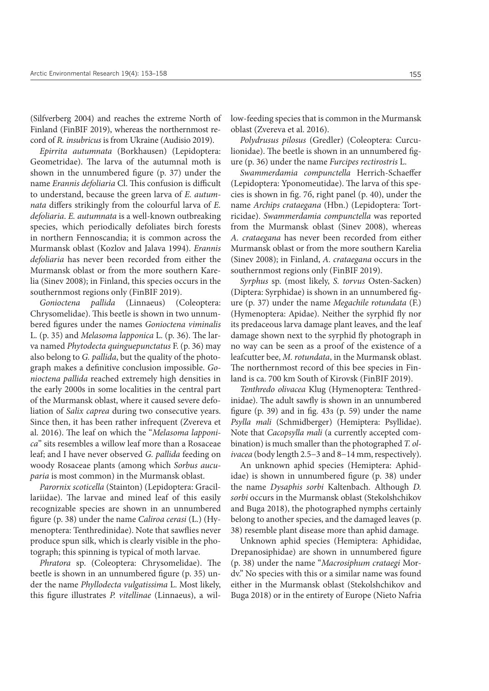(Silfverberg 2004) and reaches the extreme North of Finland (FinBIF 2019), whereas the northernmost record of *R. insubricus* is from Ukraine (Audisio 2019).

*Epirrita autumnata* (Borkhausen) (Lepidoptera: Geometridae). The larva of the autumnal moth is shown in the unnumbered figure (p. 37) under the name *Erannis defoliaria* Cl. This confusion is difficult to understand, because the green larva of *E. autumnata* differs strikingly from the colourful larva of *E. defoliaria*. *E. autumnata* is a well-known outbreaking species, which periodically defoliates birch forests in northern Fennoscandia; it is common across the Murmansk oblast (Kozlov and Jalava 1994). *Erannis defoliaria* has never been recorded from either the Murmansk oblast or from the more southern Karelia (Sinev 2008); in Finland, this species occurs in the southernmost regions only (FinBIF 2019).

*Gonioctena pallida* (Linnaeus) (Coleoptera: Chrysomelidae). This beetle is shown in two unnumbered figures under the names *Gonioctena viminalis* L. (p. 35) and *Melasoma lapponica* L. (p. 36). The larva named *Phytodecta quinguepunctatus* F. (p. 36) may also belong to *G. pallida*, but the quality of the photograph makes a definitive conclusion impossible. *Gonioctena pallida* reached extremely high densities in the early 2000s in some localities in the central part of the Murmansk oblast, where it caused severe defoliation of *Salix caprea* during two consecutive years. Since then, it has been rather infrequent (Zvereva et al. 2016). The leaf on which the "*Melasoma lapponica*" sits resembles a willow leaf more than a Rosaceae leaf; and I have never observed *G. pallida* feeding on woody Rosaceae plants (among which *Sorbus aucuparia* is most common) in the Murmansk oblast.

*Parornix scoticella* (Stainton) (Lepidoptera: Gracillariidae). The larvae and mined leaf of this easily recognizable species are shown in an unnumbered figure (p. 38) under the name *Caliroa cerasi* (L.) (Hymenoptera: Tenthredinidae). Note that sawflies never produce spun silk, which is clearly visible in the photograph; this spinning is typical of moth larvae.

*Phratora* sp. (Coleoptera: Chrysomelidae). The beetle is shown in an unnumbered figure (p. 35) under the name *Phyllodecta vulgatissima* L. Most likely, this figure illustrates *P. vitellinae* (Linnaeus), a willow-feeding species that is common in the Murmansk oblast (Zvereva et al. 2016).

*Polydrusus pilosus* (Gredler) (Coleoptera: Curculionidae). The beetle is shown in an unnumbered figure (p. 36) under the name *Furcipes rectirostris* L.

*Swammerdamia compunctella* Herrich-Schaeffer (Lepidoptera: Yponomeutidae). The larva of this species is shown in fig. 7б, right panel (p. 40), under the name *Archips crataegana* (Hbn.) (Lepidoptera: Tortricidae). *Swammerdamia compunctella* was reported from the Murmansk oblast (Sinev 2008), whereas *A. crataegana* has never been recorded from either Murmansk oblast or from the more southern Karelia (Sinev 2008); in Finland, *A. crataegana* occurs in the southernmost regions only (FinBIF 2019).

*Syrphus* sp. (most likely, *S. torvus* Osten-Sacken) (Diptera: Syrphidae) is shown in an unnumbered figure (p. 37) under the name *Megachile rotundata* (F.) (Hymenoptera: Apidae). Neither the syrphid fly nor its predaceous larva damage plant leaves, and the leaf damage shown next to the syrphid fly photograph in no way can be seen as a proof of the existence of a leafcutter bee, *M. rotundata*, in the Murmansk oblast. The northernmost record of this bee species in Finland is ca. 700 km South of Kirovsk (FinBIF 2019).

*Tenthredo olivacea* Klug (Hymenoptera: Tenthredinidae). The adult sawfly is shown in an unnumbered figure (p. 39) and in fig. 43з (p. 59) under the name *Psylla mali* (Schmidberger) (Hemiptera: Psyllidae). Note that *Cacopsylla mali* (a currently accepted combination) is much smaller than the photographed *T. olivacea* (body length 2.5−3 and 8−14 mm, respectively).

An unknown aphid species (Hemiptera: Aphididae) is shown in unnumbered figure (p. 38) under the name *Dysaphis sorbi* Kaltenbach. Although *D. sorbi* occurs in the Murmansk oblast (Stekolshchikov and Buga 2018), the photographed nymphs certainly belong to another species, and the damaged leaves (p. 38) resemble plant disease more than aphid damage.

Unknown aphid species (Hemiptera: Aphididae, Drepanosiphidae) are shown in unnumbered figure (p. 38) under the name "*Macrosiphum crataegi* Mordv." No species with this or a similar name was found either in the Murmansk oblast (Stekolshchikov and Buga 2018) or in the entirety of Europe (Nieto Nafria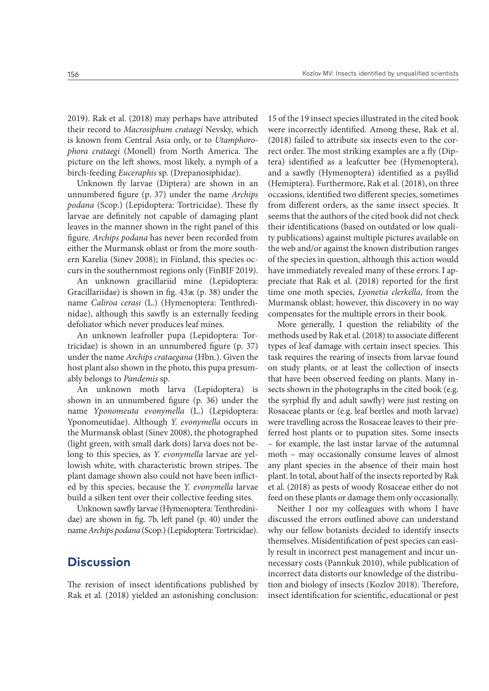2019). Rak et al. (2018) may perhaps have attributed their record to *Macrosiphum crataegi* Nevsky, which is known from Central Asia only, or to *Utamphorophora crataegi* (Monell) from North America. The picture on the left shows, most likely, a nymph of a birch-feeding *Euceraphis* sp. (Drepanosiphidae).

Unknown fly larvae (Diptera) are shown in an unnumbered figure (p. 37) under the name *Archips podana* (Scop.) (Lepidoptera: Tortricidae). These fly larvae are definitely not capable of damaging plant leaves in the manner shown in the right panel of this figure. *Archips podana* has never been recorded from either the Murmansk oblast or from the more southern Karelia (Sinev 2008); in Finland, this species occurs in the southernmost regions only (FinBIF 2019).

An unknown gracillariid mine (Lepidoptera: Gracillariidae) is shown in fig. 43ж (p. 38) under the name *Caliroa cerasi* (L.) (Hymenoptera: Tenthredinidae), although this sawfly is an externally feeding defoliator which never produces leaf mines.

An unknown leafroller pupa (Lepidoptera: Tortricidae) is shown in an unnumbered figure (p. 37) under the name *Archips crataegana* (Hbn.). Given the host plant also shown in the photo, this pupa presumably belongs to *Pandemis* sp.

An unknown moth larva (Lepidoptera) is shown in an unnumbered figure (p. 36) under the name *Yponomeuta evonymella* (L.) (Lepidoptera: Yponomeutidae). Although *Y. evonymella* occurs in the Murmansk oblast (Sinev 2008), the photographed (light green, with small dark dots) larva does not belong to this species, as *Y. evonymella* larvae are yellowish white, with characteristic brown stripes. The plant damage shown also could not have been inflicted by this species, because the *Y. evonymella* larvae build a silken tent over their collective feeding sites.

Unknown sawfly larvae (Hymenoptera: Tenthredinidae) are shown in fig. 7b, left panel (p. 40) under the name *Archips podana* (Scop.) (Lepidoptera: Tortricidae).

## **Discussion**

The revision of insect identifications published by Rak et al. (2018) yielded an astonishing conclusion: 15 of the 19 insect species illustrated in the cited book were incorrectly identified. Among these, Rak et al. (2018) failed to attribute six insects even to the correct order. The most striking examples are a fly (Diptera) identified as a leafcutter bee (Hymenoptera), and a sawfly (Hymenoptera) identified as a psyllid (Hemiptera). Furthermore, Rak et al. (2018), on three occasions, identified two different species, sometimes from different orders, as the same insect species. It seems that the authors of the cited book did not check their identifications (based on outdated or low quality publications) against multiple pictures available on the web and/or against the known distribution ranges of the species in question, although this action would have immediately revealed many of these errors. I appreciate that Rak et al. (2018) reported for the first time one moth species, *Lyonetia clerkella*, from the Murmansk oblast; however, this discovery in no way compensates for the multiple errors in their book.

More generally, I question the reliability of the methods used by Rak et al. (2018) to associate different types of leaf damage with certain insect species. This task requires the rearing of insects from larvae found on study plants, or at least the collection of insects that have been observed feeding on plants. Many insects shown in the photographs in the cited book (e.g. the syrphid fly and adult sawfly) were just resting on Rosaceae plants or (e.g. leaf beetles and moth larvae) were travelling across the Rosaceae leaves to their preferred host plants or to pupation sites. Some insects – for example, the last instar larvae of the autumnal moth – may occasionally consume leaves of almost any plant species in the absence of their main host plant. In total, about half of the insects reported by Rak et al. (2018) as pests of woody Rosaceae either do not feed on these plants or damage them only occasionally.

Neither I nor my colleagues with whom I have discussed the errors outlined above can understand why our fellow botanists decided to identify insects themselves. Misidentification of pest species can easily result in incorrect pest management and incur unnecessary costs (Pannkuk 2010), while publication of incorrect data distorts our knowledge of the distribution and biology of insects (Kozlov 2018). Therefore, insect identification for scientific, educational or pest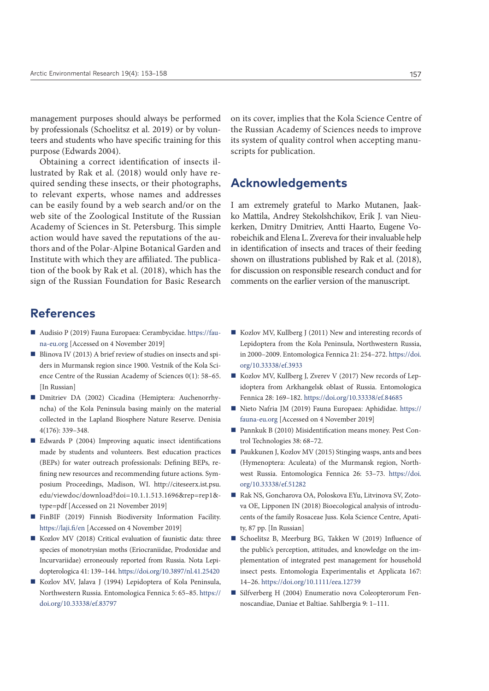management purposes should always be performed by professionals (Schoelitsz et al. 2019) or by volunteers and students who have specific training for this purpose (Edwards 2004).

Obtaining a correct identification of insects illustrated by Rak et al. (2018) would only have required sending these insects, or their photographs, to relevant experts, whose names and addresses can be easily found by a web search and/or on the web site of the Zoological Institute of the Russian Academy of Sciences in St. Petersburg. This simple action would have saved the reputations of the authors and of the Polar-Alpine Botanical Garden and Institute with which they are affiliated. The publication of the book by Rak et al. (2018), which has the sign of the Russian Foundation for Basic Research

# **References**

- Audisio P (2019) Fauna Europaea: Cerambycidae. [https://fau](https://fauna-eu.org)[na-eu.org](https://fauna-eu.org) [Accessed on 4 November 2019]
- Blinova IV (2013) A brief review of studies on insects and spiders in Murmansk region since 1900. Vestnik of the Kola Science Centre of the Russian Academy of Sciences 0(1): 58–65. [In Russian]
- Dmitriev DA (2002) Cicadina (Hemiptera: Auchenorrhyncha) of the Kola Peninsula basing mainly on the material collected in the Lapland Biosphere Nature Reserve. Denisia 4(176): 339–348.
- Edwards P (2004) Improving aquatic insect identifications made by students and volunteers. Best education practices (BEPs) for water outreach professionals: Defining BEPs, refining new resources and recommending future actions. Symposium Proceedings, Madison, WI. [http://citeseerx.ist.psu.](http://citeseerx.ist.psu.edu/viewdoc/download?doi=10.1.1.513.1696&rep=rep1&type=pdf) [edu/viewdoc/download?doi=10.1.1.513.1696&rep=rep1&](http://citeseerx.ist.psu.edu/viewdoc/download?doi=10.1.1.513.1696&rep=rep1&type=pdf) [type=pdf](http://citeseerx.ist.psu.edu/viewdoc/download?doi=10.1.1.513.1696&rep=rep1&type=pdf) [Accessed on 21 November 2019]
- FinBIF (2019) Finnish Biodiversity Information Facility. <https://laji.fi/en>[Accessed on 4 November 2019]
- Kozlov MV (2018) Critical evaluation of faunistic data: three species of monotrysian moths (Eriocraniidae, Prodoxidae and Incurvariidae) erroneously reported from Russia. Nota Lepidopterologica 41: 139–144.<https://doi.org/10.3897/nl.41.25420>
- Kozlov MV, Jalava J (1994) Lepidoptera of Kola Peninsula, Northwestern Russia. Entomologica Fennica 5: 65–85. [https://](https://doi.org/10.33338/ef.83797) [doi.org/10.33338/ef.83797](https://doi.org/10.33338/ef.83797)

on its cover, implies that the Kola Science Centre of the Russian Academy of Sciences needs to improve its system of quality control when accepting manuscripts for publication.

## **Acknowledgements**

I am extremely grateful to Marko Mutanen, Jaakko Mattila, Andrey Stekolshchikov, Erik J. van Nieukerken, Dmitry Dmitriev, Antti Haarto, Eugene Vorobeichik and Elena L. Zvereva for their invaluable help in identification of insects and traces of their feeding shown on illustrations published by Rak et al. (2018), for discussion on responsible research conduct and for comments on the earlier version of the manuscript.

- Kozlov MV, Kullberg J (2011) New and interesting records of Lepidoptera from the Kola Peninsula, Northwestern Russia, in 2000–2009. Entomologica Fennica 21: 254–272. [https://doi.](https://doi.org/10.33338/ef.3933) [org/10.33338/ef.3933](https://doi.org/10.33338/ef.3933)
- Kozlov MV, Kullberg J, Zverev V (2017) New records of Lepidoptera from Arkhangelsk oblast of Russia. Entomologica Fennica 28: 169–182.<https://doi.org/10.33338/ef.84685>
- Nieto Nafria JM (2019) Fauna Europaea: Aphididae. [https://](https://fauna-eu.org) [fauna-eu.org](https://fauna-eu.org) [Accessed on 4 November 2019]
- Pannkuk B (2010) Misidentification means money. Pest Control Technologies 38: 68–72.
- Paukkunen J, Kozlov MV (2015) Stinging wasps, ants and bees (Hymenoptera: Aculeata) of the Murmansk region, Northwest Russia. Entomologica Fennica 26: 53–73. [https://doi.](https://doi.org/10.33338/ef.51282) [org/10.33338/ef.51282](https://doi.org/10.33338/ef.51282)
- Rak NS, Goncharova OA, Poloskova EYu, Litvinova SV, Zotova OE, Lipponen IN (2018) Bioecological analysis of introducents of the family Rosaceae Juss. Kola Science Centre, Apatity, 87 pp. [In Russian]
- Schoelitsz B, Meerburg BG, Takken W (2019) Influence of the public's perception, attitudes, and knowledge on the implementation of integrated pest management for household insect pests. Entomologia Experimentalis et Applicata 167: 14–26.<https://doi.org/10.1111/eea.12739>
- Silfverberg H (2004) Enumeratio nova Coleopterorum Fennoscandiae, Daniae et Baltiae. Sahlbergia 9: 1–111.